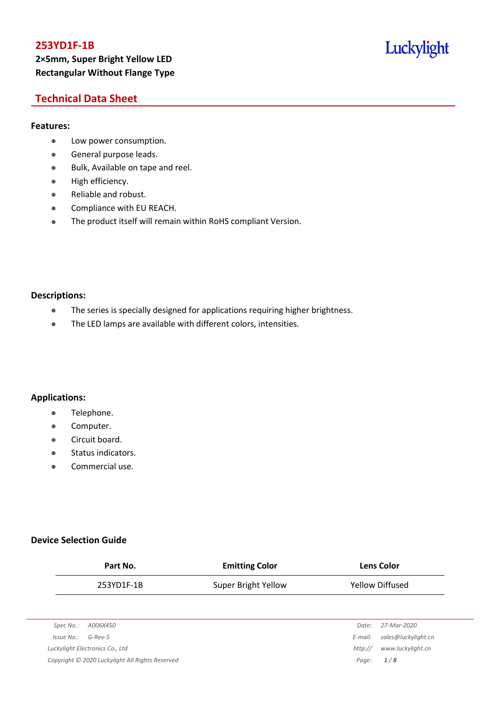## **253YD1F-1B 2×5mm, Super Bright Yellow LED Rectangular Without Flange Type**

## Luckylight

## **Technical Data Sheet**

### **Features:**

- **•** Low power consumption.
- **General purpose leads.**
- Bulk, Available on tape and reel.
- High efficiency.
- Reliable and robust.
- **•** Compliance with EU REACH.
- The product itself will remain within RoHS compliant Version.

#### **Descriptions:**

- The series is specially designed for applications requiring higher brightness.
- The LED lamps are available with different colors, intensities.

### **Applications:**

- **•** Telephone.
- **•** Computer.
- **•** Circuit board.
- **•** Status indicators.
- Commercial use.

### **Device Selection Guide**

| Part No.                                        | <b>Emitting Color</b> |         | <b>Lens Color</b>   |
|-------------------------------------------------|-----------------------|---------|---------------------|
| 253YD1F-1B                                      | Super Bright Yellow   |         | Yellow Diffused     |
|                                                 |                       |         |                     |
| Spec No.:<br>A006X450                           |                       | Date:   | 27-Mar-2020         |
| Issue No.:<br>$G$ -Rev-5                        |                       | E-mail: | sales@luckylight.cn |
| Luckylight Electronics Co., Ltd                 |                       | http:// | www.luckylight.cn   |
| Copyright © 2020 Luckylight All Rights Reserved |                       | Page:   | 1/8                 |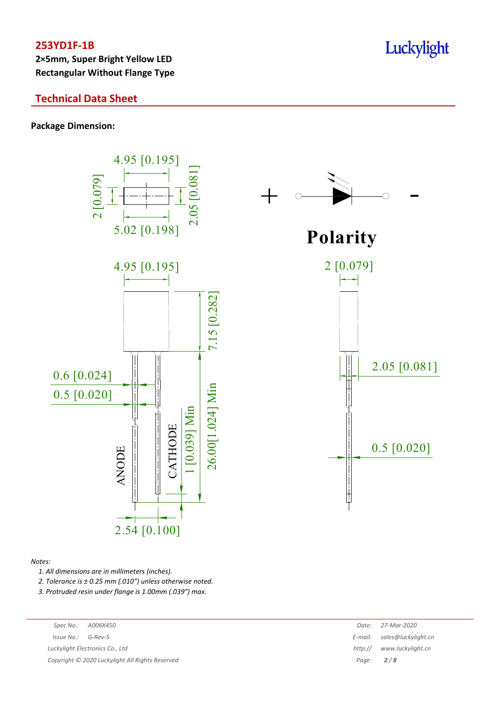**2×5mm, Super Bright Yellow LED Rectangular Without Flange Type**

## **Technical Data Sheet**

**Package Dimension:**



#### *Notes:*

*1. All dimensions are in millimeters (inches).*

*2. Tolerance is ± 0.25 mm (.010″) unless otherwise noted.*

*3. Protruded resin under flange is 1.00mm (.039″) max.*

| Spec No.:                                       | A006X450 | Date:   | 27-Mar-2020                 |
|-------------------------------------------------|----------|---------|-----------------------------|
| $Issue No.: G-Rev-5$                            |          |         | E-mail: sales@luckylight.cn |
| Luckylight Electronics Co., Ltd                 |          | http:// | www.luckylight.cn           |
| Copyright © 2020 Luckylight All Rights Reserved |          |         | Page: $2/8$                 |
|                                                 |          |         |                             |

## Luckylight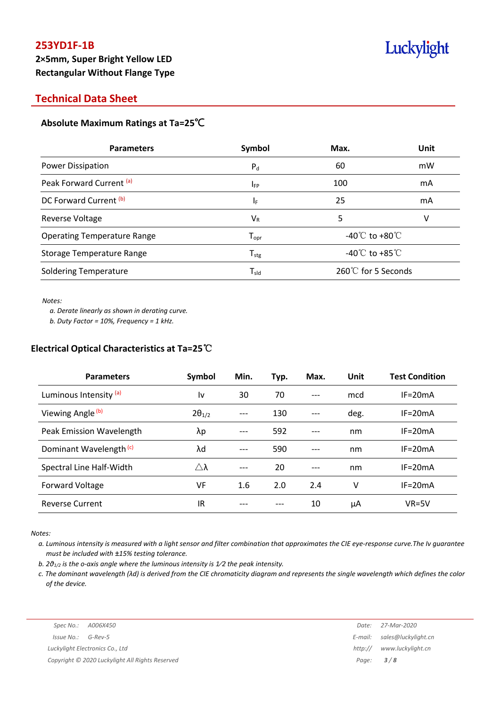### **Technical Data Sheet**

### **Absolute Maximum Ratings at Ta=25**℃

| <b>Parameters</b>                  | Symbol                       | Max.                                 | <b>Unit</b> |  |
|------------------------------------|------------------------------|--------------------------------------|-------------|--|
| <b>Power Dissipation</b>           | $P_{d}$                      | 60                                   | mW          |  |
| Peak Forward Current (a)           | I <sub>FP</sub>              | 100                                  | mA          |  |
| DC Forward Current (b)             | ΙF                           | 25                                   | mA          |  |
| Reverse Voltage                    | $V_{R}$                      | 5                                    | v           |  |
| <b>Operating Temperature Range</b> | ${\mathsf T}_{\textsf{opr}}$ | -40 $^{\circ}$ C to +80 $^{\circ}$ C |             |  |
| Storage Temperature Range          | ${\mathsf T}_{\text{stg}}$   | -40 $^{\circ}$ C to +85 $^{\circ}$ C |             |  |
| <b>Soldering Temperature</b>       | $\mathsf{T}_{\mathsf{sld}}$  | 260℃ for 5 Seconds                   |             |  |

#### *Notes:*

*a. Derate linearly as shown in derating curve.*

*b. Duty Factor = 10%, Frequency = 1 kHz.*

### **Electrical Optical Characteristics at Ta=25**℃

| <b>Parameters</b>                  | Symbol                | Min.  | Typ. | Max.  | Unit | <b>Test Condition</b> |
|------------------------------------|-----------------------|-------|------|-------|------|-----------------------|
| Luminous Intensity (a)             | ١v                    | 30    | 70   | $---$ | mcd  | $IF = 20mA$           |
| Viewing Angle <sup>(b)</sup>       | $2\theta_{1/2}$       | ---   | 130  | ---   | deg. | $IF = 20mA$           |
| Peak Emission Wavelength           | λp                    |       | 592  | ---   | nm   | $IF = 20mA$           |
| Dominant Wavelength <sup>(c)</sup> | λd                    | $---$ | 590  | ---   | nm   | $IF = 20mA$           |
| Spectral Line Half-Width           | $\triangle$ $\lambda$ |       | 20   | ---   | nm   | $IF = 20mA$           |
| Forward Voltage                    | <b>VF</b>             | 1.6   | 2.0  | 2.4   | v    | $IF = 20mA$           |
| <b>Reverse Current</b>             | IR                    |       |      | 10    | μA   | $VR=5V$               |

*Notes:*

a. Luminous intensity is measured with a light sensor and filter combination that approximates the CIE eye-response curve. The Iv guarantee *must be included with ±15% testing tolerance.*

*b. 2θ1/2 is the o-axis angle where the luminous intensity is 1⁄2 the peak intensity.*

c. The dominant wavelength ( $\lambda$ d) is derived from the CIE chromaticity diagram and represents the single wavelength which defines the color *of the device.*

*Luckylight Electronics Co., Ltd http:// www.luckylight.cn Copyright © 2020 Luckylight All Rights Reserved Page: 3 / 8*

*Spec No.: A006X450 Date: 27-Mar-2020 Issue No.: G-Rev-5 E-mail: sales@luckylight.cn*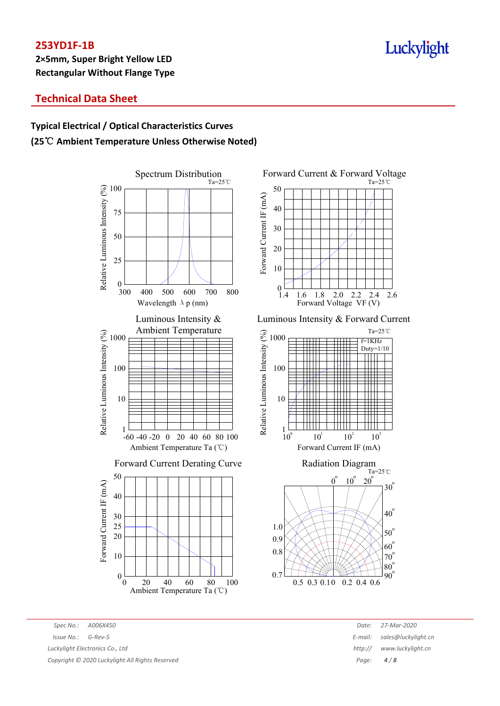**2×5mm, Super Bright Yellow LED Rectangular Without Flange Type**

# Luckylight

## **Technical Data Sheet**

## **Typical Electrical / Optical Characteristics Curves (25**℃ **Ambient Temperature Unless Otherwise Noted)**





Luminous Intensity & Forward Current





*Spec No.: A006X450 Date: 27-Mar-2020 Issue No.: G-Rev-5 E-mail: sales@luckylight.cn Luckylight Electronics Co., Ltd http:// www.luckylight.cn Copyright © 2020 Luckylight All Rights Reserved Page: 4 / 8*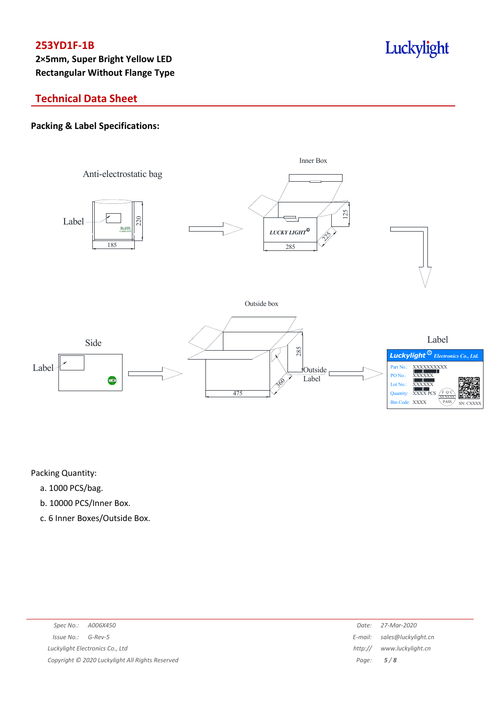**2×5mm, Super Bright Yellow LED Rectangular Without Flange Type**

# Luckylight

## **Technical Data Sheet**

### **Packing & Label Specifications:**



Packing Quantity:

- a. 1000 PCS/bag.
- b. 10000 PCS/Inner Box.
- c. 6 Inner Boxes/Outside Box.

| Spec No.: A006X450                              | Date: | 27-Mar-2020                 |
|-------------------------------------------------|-------|-----------------------------|
| $Issue No.: G-Rev-5$                            |       | E-mail: sales@luckylight.cn |
| Luckylight Electronics Co., Ltd                 |       | http:// www.luckylight.cn   |
| Copyright © 2020 Luckylight All Rights Reserved |       | Page: $5/8$                 |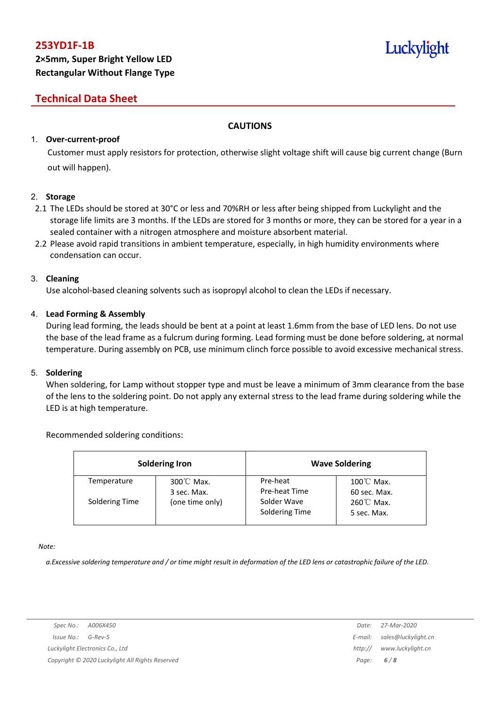# Luckylight

## **Technical Data Sheet**

### **CAUTIONS**

### 1. **Over-current-proof**

Customer must apply resistors for protection, otherwise slight voltage shift will cause big current change (Burn out will happen).

### 2. **Storage**

- 2.1 The LEDs should be stored at 30°C or less and 70%RH or less after being shipped from Luckylight and the storage life limits are 3 months. If the LEDs are stored for 3 months or more, they can be stored for a year in a sealed container with a nitrogen atmosphere and moisture absorbent material.
- 2.2 Please avoid rapid transitions in ambient temperature, especially, in high humidity environments where condensation can occur.

### 3. **Cleaning**

Use alcohol-based cleaning solvents such as isopropyl alcohol to clean the LEDs if necessary.

### 4. **Lead Forming & Assembly**

During lead forming, the leads should be bent at a point at least 1.6mm from the base of LED lens. Do not use the base of the lead frame as a fulcrum during forming. Lead forming must be done before soldering, at normal temperature. During assembly on PCB, use minimum clinch force possible to avoid excessive mechanical stress.

### 5. **Soldering**

When soldering, for Lamp without stopper type and must be leave a minimum of 3mm clearance from the base of the lens to the soldering point. Do not apply any external stress to the lead frame during soldering while the LED is at high temperature.

### Recommended soldering conditions:

| <b>Soldering Iron</b> |                                     | <b>Wave Soldering</b>         |                                      |  |
|-----------------------|-------------------------------------|-------------------------------|--------------------------------------|--|
| Temperature           | $300^{\circ}$ C Max.<br>3 sec. Max. | Pre-heat<br>Pre-heat Time     | $100^{\circ}$ C Max.<br>60 sec. Max. |  |
| Soldering Time        | (one time only)                     | Solder Wave<br>Soldering Time | $260^{\circ}$ C Max.<br>5 sec. Max.  |  |

*Note:*

a. Excessive soldering temperature and / or time might result in deformation of the LED lens or catastrophic failure of the LED.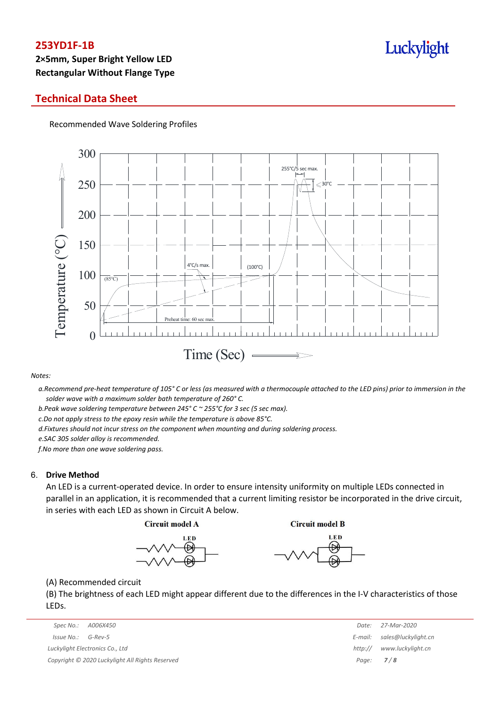## **2×5mm, Super Bright Yellow LED Rectangular Without Flange Type**

### **Technical Data Sheet**

Recommended Wave Soldering Profiles



#### *Notes:*

a. Recommend pre-heat temperature of 105° C or less (as measured with a thermocouple attached to the LED pins) prior to immersion in the *solder wave with a maximum solder bath temperature of 260° C.*

*b.Peak wave soldering temperature between 245° C ~ 255°C for 3 sec (5 sec max).*

*c.Do not apply stress to the epoxy resin while the temperature is above 85°C.*

*d.Fixtures should not incur stress on the component when mounting and during soldering process.*

*e.SAC 305 solder alloy is recommended.*

*f.No more than one wave soldering pass.*

#### 6. **Drive Method**

An LED is a current-operated device. In order to ensure intensity uniformity on multiple LEDs connected in parallel in an application, it is recommended that a current limiting resistor be incorporated in the drive circuit, in series with each LED as shown in Circuit A below.

**Circuit model A** 

**Circuit model B** 





(A) Recommended circuit

(B) The brightness of each LED might appear different due to the differences in the I-V characteristics of those LEDs.

|                                                 | Spec No.: A006X450              | Date:       | 27-Mar-2020         |
|-------------------------------------------------|---------------------------------|-------------|---------------------|
|                                                 | Issue No.:<br>G-Rev-5           | E-mail:     | sales@luckylight.cn |
|                                                 | Luckylight Electronics Co., Ltd | http://     | www.luckylight.cn   |
| Copyright © 2020 Luckylight All Rights Reserved |                                 | Page: $7/8$ |                     |

| Date:   | 27-Mar-2020         |  |
|---------|---------------------|--|
| E-mail: | sales@luckylight.cn |  |
| http:// | www.luckylight.cn   |  |
| Page:   | 7/8                 |  |

## Luckylight